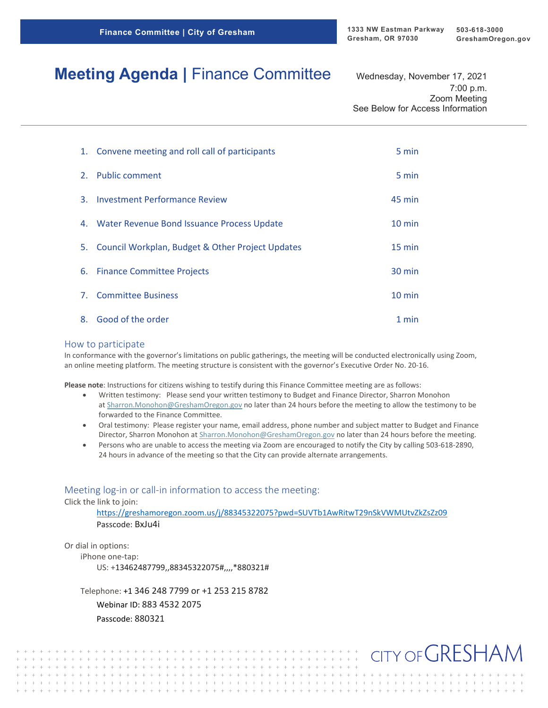CITY OF GRESHAM

# **Meeting Agenda** | Finance Committee Wednesday, November 17, 2021

7:00 p.m. Zoom Meeting See Below for Access Information

|    | 1. Convene meeting and roll call of participants    | 5 min            |
|----|-----------------------------------------------------|------------------|
|    | 2. Public comment                                   | 5 min            |
| 3. | <b>Investment Performance Review</b>                | 45 min           |
| 4. | Water Revenue Bond Issuance Process Update          | $10 \text{ min}$ |
|    | 5. Council Workplan, Budget & Other Project Updates | 15 min           |
|    | 6. Finance Committee Projects                       | 30 min           |
|    | 7. Committee Business                               | $10$ min         |
| 8. | Good of the order                                   | 1 min            |

#### How to participate

In conformance with the governor's limitations on public gatherings, the meeting will be conducted electronically using Zoom, an online meeting platform. The meeting structure is consistent with the governor's Executive Order No. 20-16.

**Please note**: Instructions for citizens wishing to testify during this Finance Committee meeting are as follows:

- Written testimony: Please send your written testimony to Budget and Finance Director, Sharron Monohon at [Sharron.Monohon@GreshamOregon.gov](mailto:Sharron.Monohon@GreshamOregon.gov) no later than 24 hours before the meeting to allow the testimony to be forwarded to the Finance Committee.
- Oral testimony: Please register your name, email address, phone number and subject matter to Budget and Finance Director, Sharron Monohon at [Sharron.Monohon@GreshamOregon.gov](mailto:Sharron.Monohon@GreshamOregon.gov) no later than 24 hours before the meeting.
- Persons who are unable to access the meeting via Zoom are encouraged to notify the City by calling 503-618-2890, 24 hours in advance of the meeting so that the City can provide alternate arrangements.

#### Meeting log-in or call-in information to access the meeting:

Click the link to join:

<https://greshamoregon.zoom.us/j/88345322075?pwd=SUVTb1AwRitwT29nSkVWMUtvZkZsZz09> Passcode: BxJu4i

Or dial in options:

iPhone one-tap:

US: +13462487799,,88345322075#,,,,\*880321#

Telephone: +1 346 248 7799 or +1 253 215 8782

 $+ + + + + + + + + +$ 

Webinar ID: 883 4532 2075 Passcode: 880321